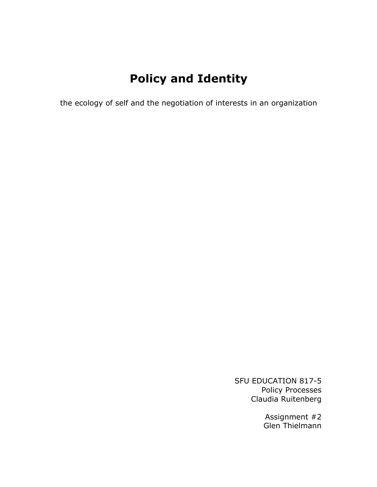## **Policy and Identity**

the ecology of self and the negotiation of interests in an organization

SFU EDUCATION 817-5 Policy Processes Claudia Ruitenberg

> Assignment #2 Glen Thielmann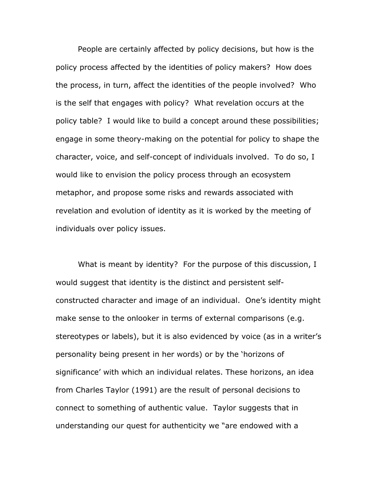People are certainly affected by policy decisions, but how is the policy process affected by the identities of policy makers? How does the process, in turn, affect the identities of the people involved? Who is the self that engages with policy? What revelation occurs at the policy table? I would like to build a concept around these possibilities; engage in some theory-making on the potential for policy to shape the character, voice, and self-concept of individuals involved. To do so, I would like to envision the policy process through an ecosystem metaphor, and propose some risks and rewards associated with revelation and evolution of identity as it is worked by the meeting of individuals over policy issues.

What is meant by identity? For the purpose of this discussion, I would suggest that identity is the distinct and persistent selfconstructed character and image of an individual. One's identity might make sense to the onlooker in terms of external comparisons (e.g. stereotypes or labels), but it is also evidenced by voice (as in a writer's personality being present in her words) or by the 'horizons of significance' with which an individual relates. These horizons, an idea from Charles Taylor (1991) are the result of personal decisions to connect to something of authentic value. Taylor suggests that in understanding our quest for authenticity we "are endowed with a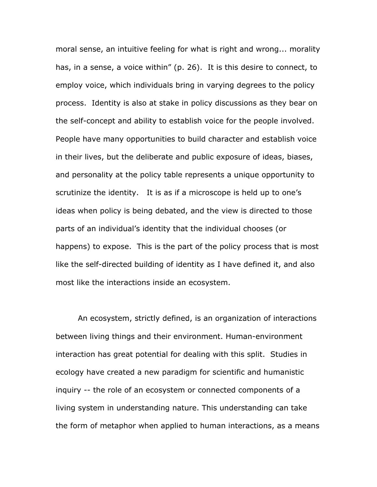moral sense, an intuitive feeling for what is right and wrong... morality has, in a sense, a voice within" (p. 26). It is this desire to connect, to employ voice, which individuals bring in varying degrees to the policy process. Identity is also at stake in policy discussions as they bear on the self-concept and ability to establish voice for the people involved. People have many opportunities to build character and establish voice in their lives, but the deliberate and public exposure of ideas, biases, and personality at the policy table represents a unique opportunity to scrutinize the identity. It is as if a microscope is held up to one's ideas when policy is being debated, and the view is directed to those parts of an individual's identity that the individual chooses (or happens) to expose. This is the part of the policy process that is most like the self-directed building of identity as I have defined it, and also most like the interactions inside an ecosystem.

An ecosystem, strictly defined, is an organization of interactions between living things and their environment. Human-environment interaction has great potential for dealing with this split. Studies in ecology have created a new paradigm for scientific and humanistic inquiry -- the role of an ecosystem or connected components of a living system in understanding nature. This understanding can take the form of metaphor when applied to human interactions, as a means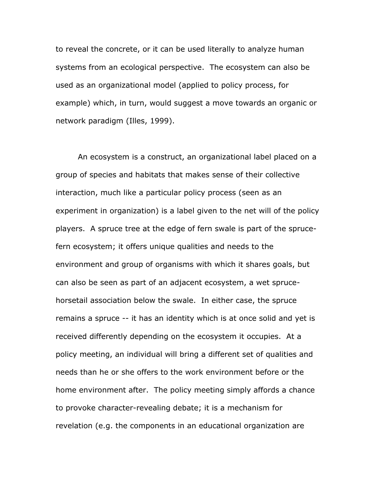to reveal the concrete, or it can be used literally to analyze human systems from an ecological perspective. The ecosystem can also be used as an organizational model (applied to policy process, for example) which, in turn, would suggest a move towards an organic or network paradigm (Illes, 1999).

An ecosystem is a construct, an organizational label placed on a group of species and habitats that makes sense of their collective interaction, much like a particular policy process (seen as an experiment in organization) is a label given to the net will of the policy players. A spruce tree at the edge of fern swale is part of the sprucefern ecosystem; it offers unique qualities and needs to the environment and group of organisms with which it shares goals, but can also be seen as part of an adjacent ecosystem, a wet sprucehorsetail association below the swale. In either case, the spruce remains a spruce -- it has an identity which is at once solid and yet is received differently depending on the ecosystem it occupies. At a policy meeting, an individual will bring a different set of qualities and needs than he or she offers to the work environment before or the home environment after. The policy meeting simply affords a chance to provoke character-revealing debate; it is a mechanism for revelation (e.g. the components in an educational organization are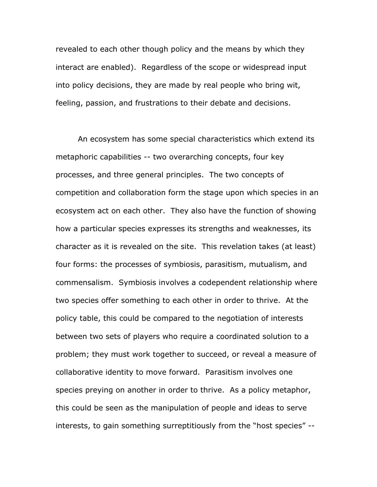revealed to each other though policy and the means by which they interact are enabled). Regardless of the scope or widespread input into policy decisions, they are made by real people who bring wit, feeling, passion, and frustrations to their debate and decisions.

An ecosystem has some special characteristics which extend its metaphoric capabilities -- two overarching concepts, four key processes, and three general principles. The two concepts of competition and collaboration form the stage upon which species in an ecosystem act on each other. They also have the function of showing how a particular species expresses its strengths and weaknesses, its character as it is revealed on the site. This revelation takes (at least) four forms: the processes of symbiosis, parasitism, mutualism, and commensalism. Symbiosis involves a codependent relationship where two species offer something to each other in order to thrive. At the policy table, this could be compared to the negotiation of interests between two sets of players who require a coordinated solution to a problem; they must work together to succeed, or reveal a measure of collaborative identity to move forward. Parasitism involves one species preying on another in order to thrive. As a policy metaphor, this could be seen as the manipulation of people and ideas to serve interests, to gain something surreptitiously from the "host species" --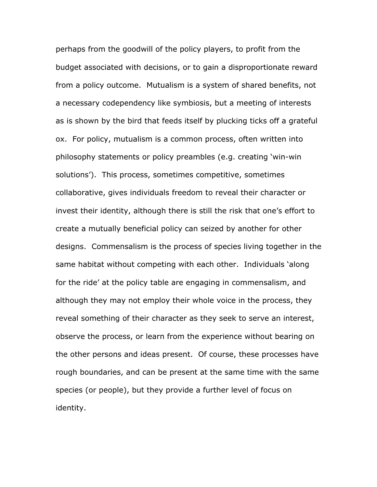perhaps from the goodwill of the policy players, to profit from the budget associated with decisions, or to gain a disproportionate reward from a policy outcome. Mutualism is a system of shared benefits, not a necessary codependency like symbiosis, but a meeting of interests as is shown by the bird that feeds itself by plucking ticks off a grateful ox. For policy, mutualism is a common process, often written into philosophy statements or policy preambles (e.g. creating 'win-win solutions'). This process, sometimes competitive, sometimes collaborative, gives individuals freedom to reveal their character or invest their identity, although there is still the risk that one's effort to create a mutually beneficial policy can seized by another for other designs. Commensalism is the process of species living together in the same habitat without competing with each other. Individuals 'along for the ride' at the policy table are engaging in commensalism, and although they may not employ their whole voice in the process, they reveal something of their character as they seek to serve an interest, observe the process, or learn from the experience without bearing on the other persons and ideas present. Of course, these processes have rough boundaries, and can be present at the same time with the same species (or people), but they provide a further level of focus on identity.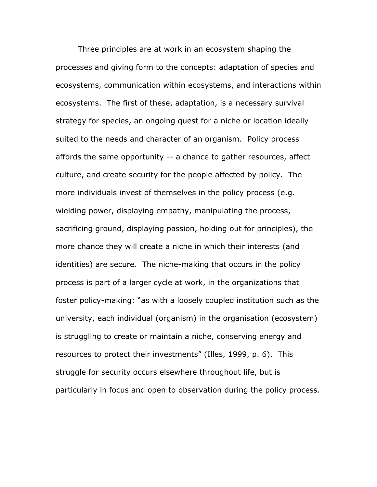Three principles are at work in an ecosystem shaping the processes and giving form to the concepts: adaptation of species and ecosystems, communication within ecosystems, and interactions within ecosystems. The first of these, adaptation, is a necessary survival strategy for species, an ongoing quest for a niche or location ideally suited to the needs and character of an organism. Policy process affords the same opportunity -- a chance to gather resources, affect culture, and create security for the people affected by policy. The more individuals invest of themselves in the policy process (e.g. wielding power, displaying empathy, manipulating the process, sacrificing ground, displaying passion, holding out for principles), the more chance they will create a niche in which their interests (and identities) are secure. The niche-making that occurs in the policy process is part of a larger cycle at work, in the organizations that foster policy-making: "as with a loosely coupled institution such as the university, each individual (organism) in the organisation (ecosystem) is struggling to create or maintain a niche, conserving energy and resources to protect their investments" (Illes, 1999, p. 6). This struggle for security occurs elsewhere throughout life, but is particularly in focus and open to observation during the policy process.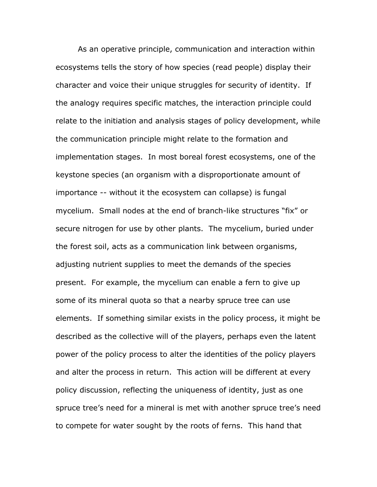As an operative principle, communication and interaction within ecosystems tells the story of how species (read people) display their character and voice their unique struggles for security of identity. If the analogy requires specific matches, the interaction principle could relate to the initiation and analysis stages of policy development, while the communication principle might relate to the formation and implementation stages. In most boreal forest ecosystems, one of the keystone species (an organism with a disproportionate amount of importance -- without it the ecosystem can collapse) is fungal mycelium. Small nodes at the end of branch-like structures "fix" or secure nitrogen for use by other plants. The mycelium, buried under the forest soil, acts as a communication link between organisms, adjusting nutrient supplies to meet the demands of the species present. For example, the mycelium can enable a fern to give up some of its mineral quota so that a nearby spruce tree can use elements. If something similar exists in the policy process, it might be described as the collective will of the players, perhaps even the latent power of the policy process to alter the identities of the policy players and alter the process in return. This action will be different at every policy discussion, reflecting the uniqueness of identity, just as one spruce tree's need for a mineral is met with another spruce tree's need to compete for water sought by the roots of ferns. This hand that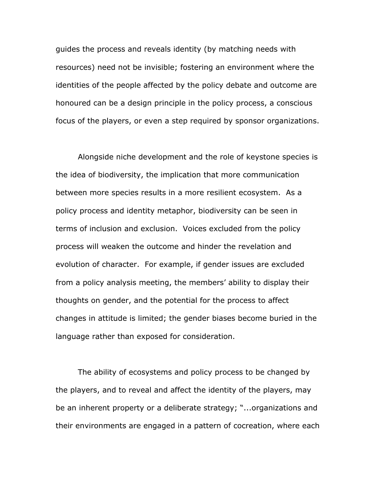guides the process and reveals identity (by matching needs with resources) need not be invisible; fostering an environment where the identities of the people affected by the policy debate and outcome are honoured can be a design principle in the policy process, a conscious focus of the players, or even a step required by sponsor organizations.

Alongside niche development and the role of keystone species is the idea of biodiversity, the implication that more communication between more species results in a more resilient ecosystem. As a policy process and identity metaphor, biodiversity can be seen in terms of inclusion and exclusion. Voices excluded from the policy process will weaken the outcome and hinder the revelation and evolution of character. For example, if gender issues are excluded from a policy analysis meeting, the members' ability to display their thoughts on gender, and the potential for the process to affect changes in attitude is limited; the gender biases become buried in the language rather than exposed for consideration.

The ability of ecosystems and policy process to be changed by the players, and to reveal and affect the identity of the players, may be an inherent property or a deliberate strategy; "...organizations and their environments are engaged in a pattern of cocreation, where each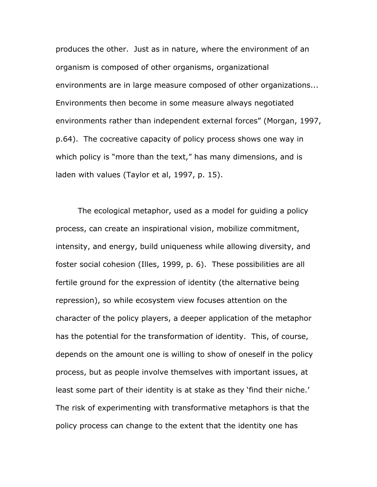produces the other. Just as in nature, where the environment of an organism is composed of other organisms, organizational environments are in large measure composed of other organizations... Environments then become in some measure always negotiated environments rather than independent external forces" (Morgan, 1997, p.64). The cocreative capacity of policy process shows one way in which policy is "more than the text," has many dimensions, and is laden with values (Taylor et al, 1997, p. 15).

The ecological metaphor, used as a model for guiding a policy process, can create an inspirational vision, mobilize commitment, intensity, and energy, build uniqueness while allowing diversity, and foster social cohesion (Illes, 1999, p. 6). These possibilities are all fertile ground for the expression of identity (the alternative being repression), so while ecosystem view focuses attention on the character of the policy players, a deeper application of the metaphor has the potential for the transformation of identity. This, of course, depends on the amount one is willing to show of oneself in the policy process, but as people involve themselves with important issues, at least some part of their identity is at stake as they 'find their niche.' The risk of experimenting with transformative metaphors is that the policy process can change to the extent that the identity one has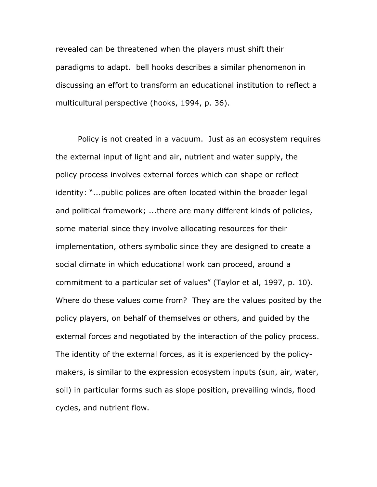revealed can be threatened when the players must shift their paradigms to adapt. bell hooks describes a similar phenomenon in discussing an effort to transform an educational institution to reflect a multicultural perspective (hooks, 1994, p. 36).

Policy is not created in a vacuum. Just as an ecosystem requires the external input of light and air, nutrient and water supply, the policy process involves external forces which can shape or reflect identity: "...public polices are often located within the broader legal and political framework; ...there are many different kinds of policies, some material since they involve allocating resources for their implementation, others symbolic since they are designed to create a social climate in which educational work can proceed, around a commitment to a particular set of values" (Taylor et al, 1997, p. 10). Where do these values come from? They are the values posited by the policy players, on behalf of themselves or others, and guided by the external forces and negotiated by the interaction of the policy process. The identity of the external forces, as it is experienced by the policymakers, is similar to the expression ecosystem inputs (sun, air, water, soil) in particular forms such as slope position, prevailing winds, flood cycles, and nutrient flow.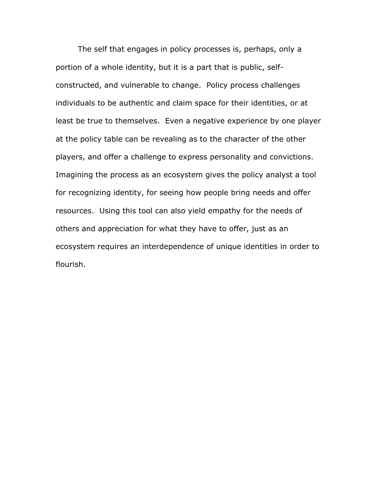The self that engages in policy processes is, perhaps, only a portion of a whole identity, but it is a part that is public, selfconstructed, and vulnerable to change. Policy process challenges individuals to be authentic and claim space for their identities, or at least be true to themselves. Even a negative experience by one player at the policy table can be revealing as to the character of the other players, and offer a challenge to express personality and convictions. Imagining the process as an ecosystem gives the policy analyst a tool for recognizing identity, for seeing how people bring needs and offer resources. Using this tool can also yield empathy for the needs of others and appreciation for what they have to offer, just as an ecosystem requires an interdependence of unique identities in order to flourish.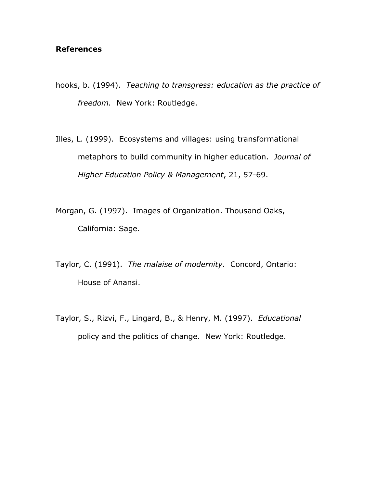## **References**

- hooks, b. (1994). *Teaching to transgress: education as the practice of freedom.* New York: Routledge.
- Illes, L. (1999). Ecosystems and villages: using transformational metaphors to build community in higher education. *Journal of Higher Education Policy & Management*, 21, 57-69.
- Morgan, G. (1997). Images of Organization. Thousand Oaks, California: Sage.
- Taylor, C. (1991). *The malaise of modernity.* Concord, Ontario: House of Anansi.
- Taylor, S., Rizvi, F., Lingard, B., & Henry, M. (1997). *Educational*  policy and the politics of change. New York: Routledge.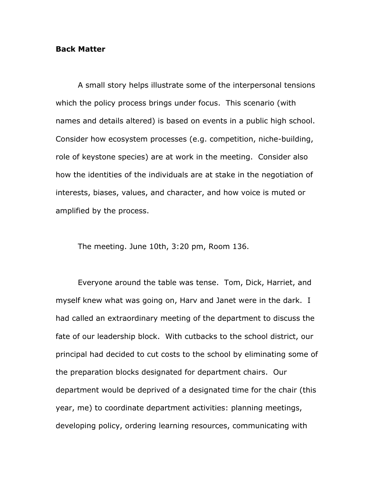## **Back Matter**

A small story helps illustrate some of the interpersonal tensions which the policy process brings under focus. This scenario (with names and details altered) is based on events in a public high school. Consider how ecosystem processes (e.g. competition, niche-building, role of keystone species) are at work in the meeting. Consider also how the identities of the individuals are at stake in the negotiation of interests, biases, values, and character, and how voice is muted or amplified by the process.

The meeting. June 10th, 3:20 pm, Room 136.

Everyone around the table was tense. Tom, Dick, Harriet, and myself knew what was going on, Harv and Janet were in the dark. I had called an extraordinary meeting of the department to discuss the fate of our leadership block. With cutbacks to the school district, our principal had decided to cut costs to the school by eliminating some of the preparation blocks designated for department chairs. Our department would be deprived of a designated time for the chair (this year, me) to coordinate department activities: planning meetings, developing policy, ordering learning resources, communicating with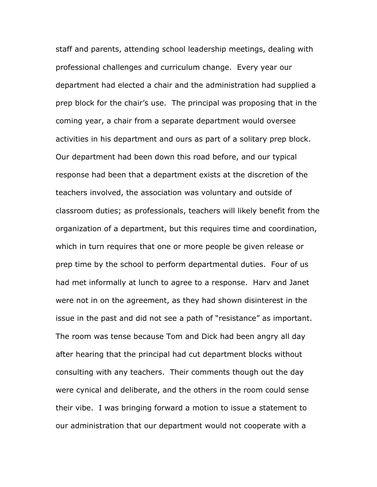staff and parents, attending school leadership meetings, dealing with professional challenges and curriculum change. Every year our department had elected a chair and the administration had supplied a prep block for the chair's use. The principal was proposing that in the coming year, a chair from a separate department would oversee activities in his department and ours as part of a solitary prep block. Our department had been down this road before, and our typical response had been that a department exists at the discretion of the teachers involved, the association was voluntary and outside of classroom duties; as professionals, teachers will likely benefit from the organization of a department, but this requires time and coordination, which in turn requires that one or more people be given release or prep time by the school to perform departmental duties. Four of us had met informally at lunch to agree to a response. Harv and Janet were not in on the agreement, as they had shown disinterest in the issue in the past and did not see a path of "resistance" as important. The room was tense because Tom and Dick had been angry all day after hearing that the principal had cut department blocks without consulting with any teachers. Their comments though out the day were cynical and deliberate, and the others in the room could sense their vibe. I was bringing forward a motion to issue a statement to our administration that our department would not cooperate with a